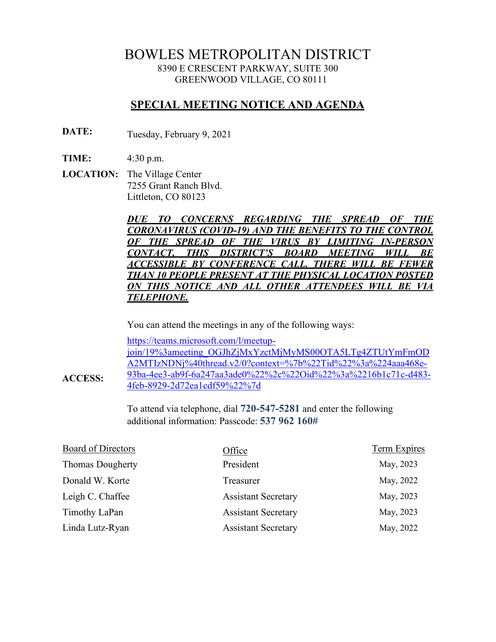# BOWLES METROPOLITAN DISTRICT 8390 E CRESCENT PARKWAY, SUITE 300 GREENWOOD VILLAGE, CO 80111

# **SPECIAL MEETING NOTICE AND AGENDA**

**DATE:** Tuesday, February 9, 2021

**TIME:** 4:30 p.m.

**ACCESS:**

**LOCATION:** The Village Center 7255 Grant Ranch Blvd. Littleton, CO 80123

> *DUE TO CONCERNS REGARDING THE SPREAD OF THE CORONAVIRUS (COVID-19) AND THE BENEFITS TO THE CONTROL OF THE SPREAD OF THE VIRUS BY LIMITING IN-PERSON CONTACT, THIS DISTRICT'S BOARD MEETING WILL BE ACCESSIBLE BY CONFERENCE CALL. THERE WILL BE FEWER THAN 10 PEOPLE PRESENT AT THE PHYSICAL LOCATION POSTED ON THIS NOTICE AND ALL OTHER ATTENDEES WILL BE VIA TELEPHONE.*

You can attend the meetings in any of the following ways:

[https://teams.microsoft.com/l/meetup](https://teams.microsoft.com/l/meetup-join/19%3ameeting_OGJhZjMxYzctMjMyMS00OTA5LTg4ZTUtYmFmODA2MTIzNDNj%40thread.v2/0?context=%7b%22Tid%22%3a%224aaa468e-93ba-4ee3-ab9f-6a247aa3ade0%22%2c%22Oid%22%3a%2216b1c71c-d483-4feb-8929-2d72ea1cdf59%22%7d)[join/19%3ameeting\\_OGJhZjMxYzctMjMyMS00OTA5LTg4ZTUtYmFmOD](https://teams.microsoft.com/l/meetup-join/19%3ameeting_OGJhZjMxYzctMjMyMS00OTA5LTg4ZTUtYmFmODA2MTIzNDNj%40thread.v2/0?context=%7b%22Tid%22%3a%224aaa468e-93ba-4ee3-ab9f-6a247aa3ade0%22%2c%22Oid%22%3a%2216b1c71c-d483-4feb-8929-2d72ea1cdf59%22%7d) [A2MTIzNDNj%40thread.v2/0?context=%7b%22Tid%22%3a%224aaa468e-](https://teams.microsoft.com/l/meetup-join/19%3ameeting_OGJhZjMxYzctMjMyMS00OTA5LTg4ZTUtYmFmODA2MTIzNDNj%40thread.v2/0?context=%7b%22Tid%22%3a%224aaa468e-93ba-4ee3-ab9f-6a247aa3ade0%22%2c%22Oid%22%3a%2216b1c71c-d483-4feb-8929-2d72ea1cdf59%22%7d)[93ba-4ee3-ab9f-6a247aa3ade0%22%2c%22Oid%22%3a%2216b1c71c-d483-](https://teams.microsoft.com/l/meetup-join/19%3ameeting_OGJhZjMxYzctMjMyMS00OTA5LTg4ZTUtYmFmODA2MTIzNDNj%40thread.v2/0?context=%7b%22Tid%22%3a%224aaa468e-93ba-4ee3-ab9f-6a247aa3ade0%22%2c%22Oid%22%3a%2216b1c71c-d483-4feb-8929-2d72ea1cdf59%22%7d) [4feb-8929-2d72ea1cdf59%22%7d](https://teams.microsoft.com/l/meetup-join/19%3ameeting_OGJhZjMxYzctMjMyMS00OTA5LTg4ZTUtYmFmODA2MTIzNDNj%40thread.v2/0?context=%7b%22Tid%22%3a%224aaa468e-93ba-4ee3-ab9f-6a247aa3ade0%22%2c%22Oid%22%3a%2216b1c71c-d483-4feb-8929-2d72ea1cdf59%22%7d)

To attend via telephone, dial **720-547-5281** and enter the following additional information: Passcode: **537 962 160#**

| <b>Board of Directors</b> | Office                     | Term Expires |
|---------------------------|----------------------------|--------------|
| <b>Thomas Dougherty</b>   | President                  | May, 2023    |
| Donald W. Korte           | Treasurer                  | May, 2022    |
| Leigh C. Chaffee          | <b>Assistant Secretary</b> | May, 2023    |
| Timothy LaPan             | <b>Assistant Secretary</b> | May, 2023    |
| Linda Lutz-Ryan           | <b>Assistant Secretary</b> | May, 2022    |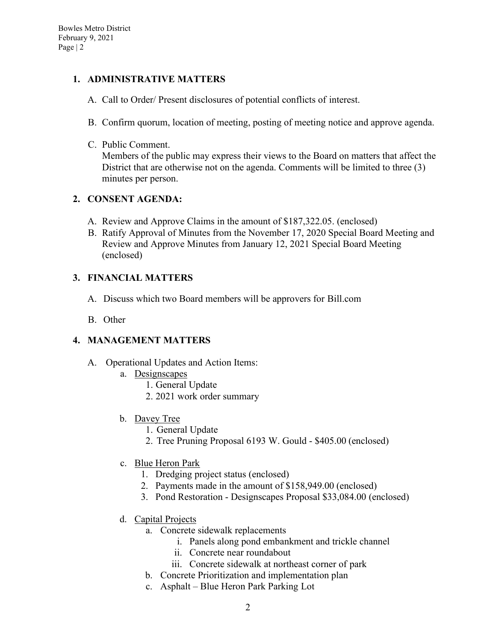### **1. ADMINISTRATIVE MATTERS**

- A. Call to Order/ Present disclosures of potential conflicts of interest.
- B. Confirm quorum, location of meeting, posting of meeting notice and approve agenda.
- C. Public Comment.

Members of the public may express their views to the Board on matters that affect the District that are otherwise not on the agenda. Comments will be limited to three (3) minutes per person.

## **2. CONSENT AGENDA:**

- A. Review and Approve Claims in the amount of \$187,322.05. (enclosed)
- B. Ratify Approval of Minutes from the November 17, 2020 Special Board Meeting and Review and Approve Minutes from January 12, 2021 Special Board Meeting (enclosed)

## **3. FINANCIAL MATTERS**

- A. Discuss which two Board members will be approvers for Bill.com
- B. Other

### **4. MANAGEMENT MATTERS**

- A. Operational Updates and Action Items:
	- a. Designscapes
		- 1. General Update
		- 2. 2021 work order summary
	- b. Davey Tree
		- 1. General Update
		- 2. Tree Pruning Proposal 6193 W. Gould \$405.00 (enclosed)
	- c. Blue Heron Park
		- 1. Dredging project status (enclosed)
		- 2. Payments made in the amount of \$158,949.00 (enclosed)
		- 3. Pond Restoration Designscapes Proposal \$33,084.00 (enclosed)
	- d. Capital Projects
		- a. Concrete sidewalk replacements
			- i. Panels along pond embankment and trickle channel
			- ii. Concrete near roundabout
			- iii. Concrete sidewalk at northeast corner of park
		- b. Concrete Prioritization and implementation plan
		- c. Asphalt Blue Heron Park Parking Lot